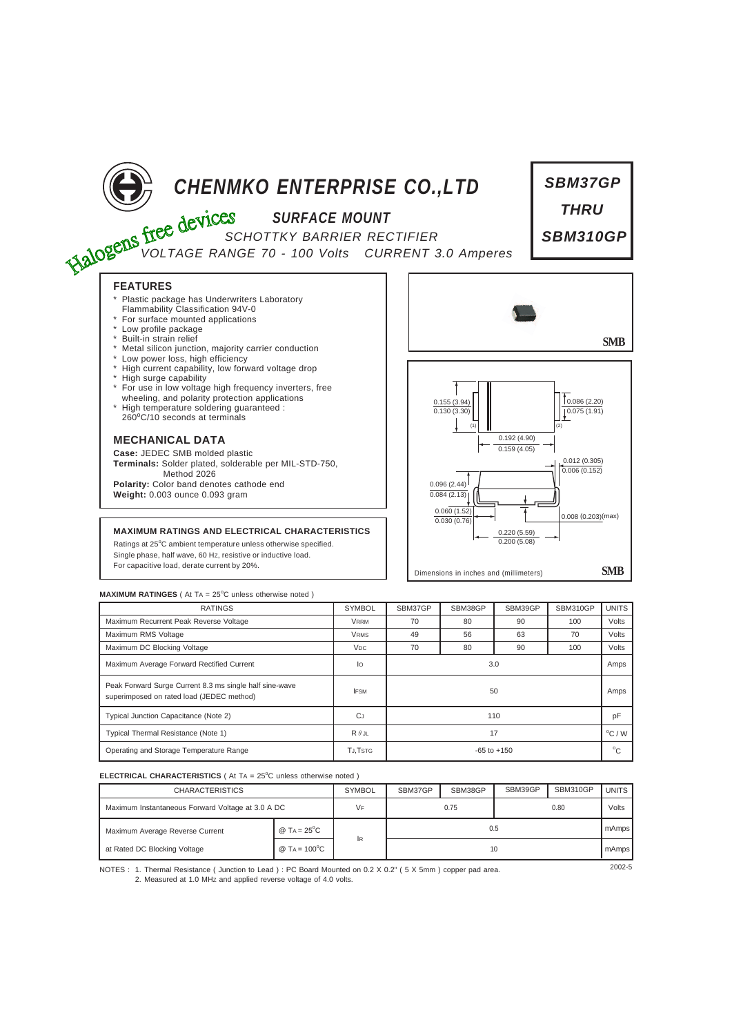

| <b>RATINGS</b>                                                                                       | <b>SYMBOL</b>         | SBM37GP         | SBM38GP | SBM39GP | SBM310GP | <b>UNITS</b> |
|------------------------------------------------------------------------------------------------------|-----------------------|-----------------|---------|---------|----------|--------------|
| Maximum Recurrent Peak Reverse Voltage                                                               | <b>VRRM</b>           | 70              | 80      | 90      | 100      | Volts        |
| Maximum RMS Voltage                                                                                  | <b>VRMS</b>           | 49              | 56      | 63      | 70       | Volts        |
| Maximum DC Blocking Voltage                                                                          | <b>V<sub>DC</sub></b> | 70              | 80      | 90      | 100      | Volts        |
| Maximum Average Forward Rectified Current                                                            | lo                    | 3.0             |         |         |          |              |
| Peak Forward Surge Current 8.3 ms single half sine-wave<br>superimposed on rated load (JEDEC method) | <b>IFSM</b>           | 50              |         |         |          |              |
| Typical Junction Capacitance (Note 2)                                                                | <b>C</b> J            | 110             |         |         |          |              |
| Typical Thermal Resistance (Note 1)                                                                  | $R \theta$ JL         | 17              |         |         |          |              |
| Operating and Storage Temperature Range                                                              | <b>TJ.TSTG</b>        | $-65$ to $+150$ |         |         |          |              |

## **ELECTRICAL CHARACTERISTICS** ( At TA = 25°C unless otherwise noted )

| <b>CHARACTERISTICS</b>                            |                                   | <b>SYMBOL</b> | SBM37GP | SBM38GP | SBM39GP | SBM310GP | <b>UNITS</b> |
|---------------------------------------------------|-----------------------------------|---------------|---------|---------|---------|----------|--------------|
| Maximum Instantaneous Forward Voltage at 3.0 A DC |                                   | VF            | 0.75    |         | 0.80    |          | Volts        |
| Maximum Average Reverse Current                   | @ T <sub>A</sub> = $25^{\circ}$ C |               | 0.5     |         |         |          | mAmps        |
| at Rated DC Blocking Voltage                      | @ TA = $100^{\circ}$ C            | <b>IR</b>     | 10      |         |         |          |              |

NOTES : 2002-5 1. Thermal Resistance ( Junction to Lead ) : PC Board Mounted on 0.2 X 0.2" ( 5 X 5mm ) copper pad area. 2. Measured at 1.0 MHz and applied reverse voltage of 4.0 volts.